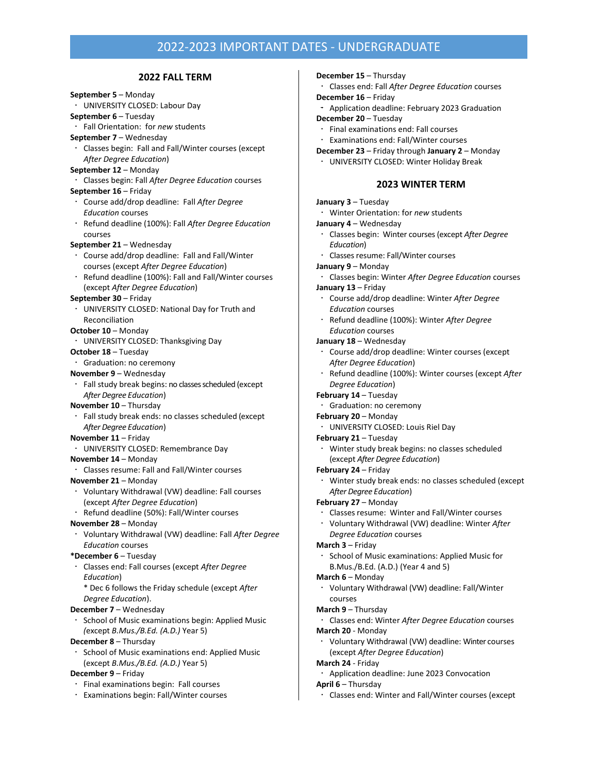## 2022-2023 IMPORTANT DATES - UNDERGRADUATE

## **2022 FALL TERM September 5** – Monday UNIVERSITY CLOSED: Labour Day **September 6** – Tuesday Fall Orientation: for *new* students **September 7** – Wednesday Classes begin: Fall and Fall/Winter courses (except *After Degree Education*) **September 12** – Monday Classes begin: Fall *After Degree Education* courses **September 16** – Friday Course add/drop deadline: Fall *After Degree Education* courses Refund deadline (100%): Fall *After Degree Education* courses **September 21** – Wednesday Course add/drop deadline: Fall and Fall/Winter courses (except *After Degree Education*) Refund deadline (100%): Fall and Fall/Winter courses (except *After Degree Education*) **September 30** – Friday UNIVERSITY CLOSED: National Day for Truth and Reconciliation **October 10** – Monday UNIVERSITY CLOSED: Thanksgiving Day **October 18** – Tuesday Graduation: no ceremony **November 9** – Wednesday Fall study break begins: no classes scheduled (except *After Degree Education*) **November 10** – Thursday Fall study break ends: no classes scheduled (except *After Degree Education*) **November 11** – Friday UNIVERSITY CLOSED: Remembrance Day **November 14** – Monday Classes resume: Fall and Fall/Winter courses **November 21** – Monday Voluntary Withdrawal (VW) deadline: Fall courses (except *After Degree Education*) Refund deadline (50%): Fall/Winter courses **November 28** – Monday Voluntary Withdrawal (VW) deadline: Fall *After Degree Education* courses **\*December 6** – Tuesday Classes end: Fall courses (except *After Degree Education*) \* Dec 6 follows the Friday schedule (except *After Degree Education*). **December 7** – Wednesday  $\cdot$  School of Music examinations begin: Applied Music *(*except *B.Mus./B.Ed. (A.D.)* Year 5) **December 8** – Thursday School of Music examinations end: Applied Music (except *B.Mus./B.Ed. (A.D.)* Year 5) **December 9** – Friday  $\cdot$  Final examinations begin: Fall courses **December 15** – Thursday Classes end: Fall *After Degree Education* courses **December 16** – Friday Application deadline: February 2023 Graduation **December 20** – Tuesday Final examinations end: Fall courses Examinations end: Fall/Winter courses **December 23** – Friday through **January 2** – Monday UNIVERSITY CLOSED: Winter Holiday Break **2023 WINTER TERM January 3** – Tuesday Winter Orientation: for *new* students **January 4** – Wednesday Classes begin: Winter courses (except *After Degree Education*) Classes resume: Fall/Winter courses **January 9** – Monday Classes begin: Winter *After Degree Education* courses **January 13** – Friday Course add/drop deadline: Winter *After Degree Education* courses Refund deadline (100%): Winter *After Degree Education* courses **January 18** – Wednesday Course add/drop deadline: Winter courses (except *After Degree Education*) Refund deadline (100%): Winter courses (except *After Degree Education*) **February 14** – Tuesday Graduation: no ceremony **February 20** – Monday UNIVERSITY CLOSED: Louis Riel Day **February 21** – Tuesday Winter study break begins: no classes scheduled (except *After Degree Education*) **February 24** – Friday Winter study break ends: no classes scheduled (except *After Degree Education*) **February 27** – Monday Classesresume: Winter and Fall/Winter courses Voluntary Withdrawal (VW) deadline: Winter *After Degree Education* courses **March 3** – Friday School of Music examinations: Applied Music for B.Mus./B.Ed. (A.D.) (Year 4 and 5) **March 6** – Monday Voluntary Withdrawal (VW) deadline: Fall/Winter courses **March 9** – Thursday Classes end: Winter *After Degree Education* courses **March 20** - Monday Voluntary Withdrawal (VW) deadline: Winter courses (except *After Degree Education*) **March 24** - Friday Application deadline: June 2023 Convocation **April 6** – Thursday

Examinations begin: Fall/Winter courses

Classes end: Winter and Fall/Winter courses (except